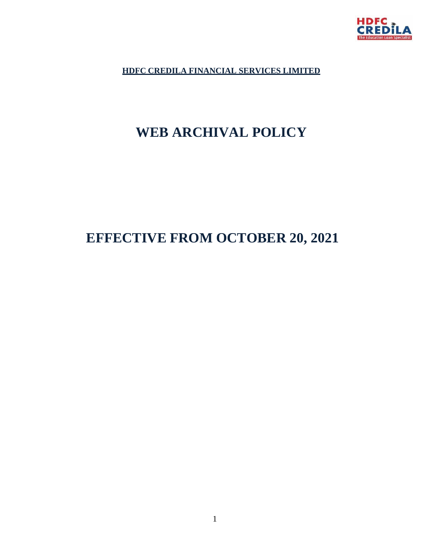

**HDFC CREDILA FINANCIAL SERVICES LIMITED**

# **WEB ARCHIVAL POLICY**

# **EFFECTIVE FROM OCTOBER 20, 2021**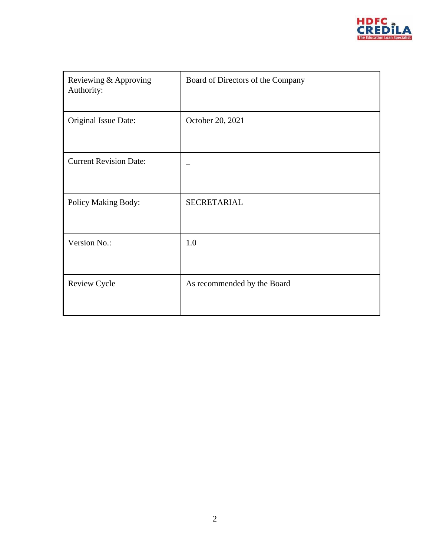

| Reviewing & Approving<br>Authority: | Board of Directors of the Company |
|-------------------------------------|-----------------------------------|
| Original Issue Date:                | October 20, 2021                  |
| <b>Current Revision Date:</b>       |                                   |
| Policy Making Body:                 | SECRETARIAL                       |
| Version No.:                        | 1.0                               |
| <b>Review Cycle</b>                 | As recommended by the Board       |